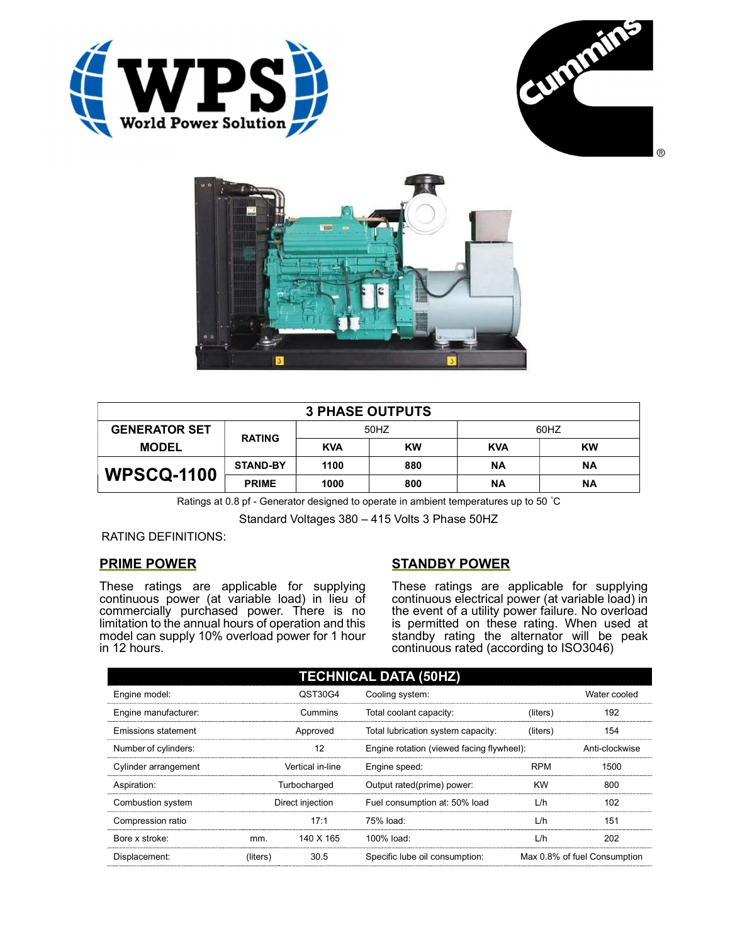





| <b>3 PHASE OUTPUTS</b> |                 |            |           |            |           |  |
|------------------------|-----------------|------------|-----------|------------|-----------|--|
| <b>GENERATOR SET</b>   | <b>RATING</b>   | 50HZ       |           | 60HZ       |           |  |
| <b>MODEL</b>           |                 | <b>KVA</b> | <b>KW</b> | <b>KVA</b> | <b>KW</b> |  |
| <b>WPSCQ-1100</b>      | <b>STAND-BY</b> | 1100       | 880       | ΝA         | <b>NA</b> |  |
|                        | <b>PRIME</b>    | 1000       | 800       | ΝA         | <b>NA</b> |  |

Ratings at 0.8 pf - Generator designed to operate in ambient temperatures up to 50 °C

Standard Voltages 380 – 415 Volts 3 Phase 50HZ

RATING DEFINITIONS:

# PRIME POWER

These ratings are applicable for supplying continuous power (at variable load) in lieu of commercially purchased power. There is no limitation to the annual hours of operation and this model can supply 10% overload power for 1 hour in 12 hours.

# STANDBY POWER

These ratings are applicable for supplying continuous electrical power (at variable load) in the event of a utility power failure. No overload is permitted on these rating. When used at standby rating the alternator will be peak continuous rated (according to ISO3046)

| <b>TECHNICAL DATA (50HZ)</b> |                  |                  |                                           |            |                              |  |
|------------------------------|------------------|------------------|-------------------------------------------|------------|------------------------------|--|
| Engine model:                |                  | QST30G4          | Cooling system:                           |            | Water cooled                 |  |
| Engine manufacturer:         |                  | Cummins          | Total coolant capacity:                   | (liters)   | 192                          |  |
| Emissions statement          | Approved         |                  | Total lubrication system capacity:        | (liters)   | 154                          |  |
| Number of cylinders:         | 12               |                  | Engine rotation (viewed facing flywheel): |            | Anti-clockwise               |  |
| Cylinder arrangement         |                  | Vertical in-line | Engine speed:                             | <b>RPM</b> | 1500                         |  |
| Aspiration:                  | Turbocharged     |                  | Output rated(prime) power:                | <b>KW</b>  | 800                          |  |
| Combustion system            | Direct injection |                  | Fuel consumption at: 50% load             | L/h        | 102                          |  |
| Compression ratio            |                  | 17:1             | 75% load:                                 | L/h        | 151                          |  |
| Bore x stroke:               | mm.              | 140 X 165        | 100% load:                                | L/h        | 202                          |  |
| Displacement:                | (liters)         | 30.5             | Specific lube oil consumption:            |            | Max 0.8% of fuel Consumption |  |